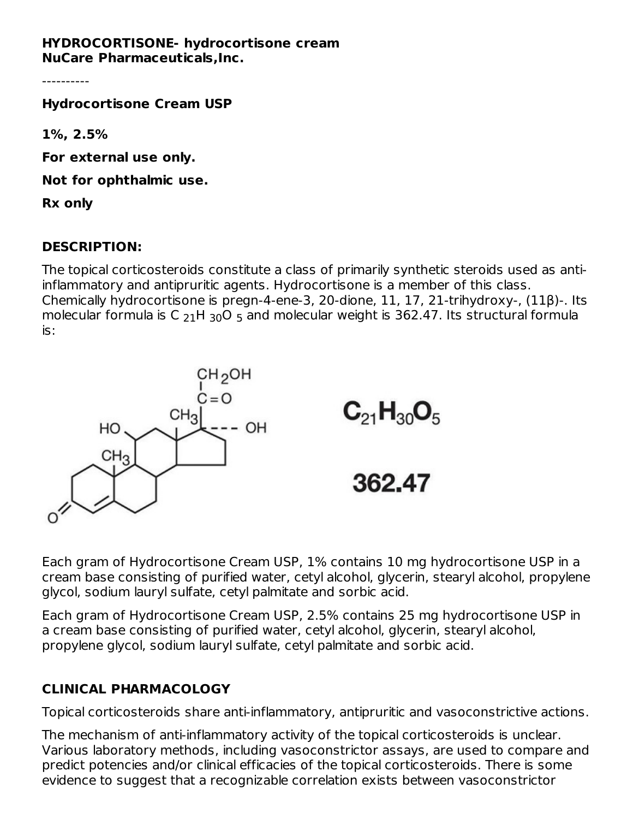### **HYDROCORTISONE- hydrocortisone cream NuCare Pharmaceuticals,Inc.**

----------

**Hydrocortisone Cream USP**

**1%, 2.5%**

**For external use only.**

**Not for ophthalmic use.**

**Rx only**

### **DESCRIPTION:**

The topical corticosteroids constitute a class of primarily synthetic steroids used as antiinflammatory and antipruritic agents. Hydrocortisone is a member of this class. Chemically hydrocortisone is pregn-4-ene-3, 20-dione, 11, 17, 21-trihydroxy-, (11β)-. Its molecular formula is C  $_{21}$ H  $_{30}$ O  $_{5}$  and molecular weight is 362.47. Its structural formula is:



Each gram of Hydrocortisone Cream USP, 1% contains 10 mg hydrocortisone USP in a cream base consisting of purified water, cetyl alcohol, glycerin, stearyl alcohol, propylene glycol, sodium lauryl sulfate, cetyl palmitate and sorbic acid.

Each gram of Hydrocortisone Cream USP, 2.5% contains 25 mg hydrocortisone USP in a cream base consisting of purified water, cetyl alcohol, glycerin, stearyl alcohol, propylene glycol, sodium lauryl sulfate, cetyl palmitate and sorbic acid.

# **CLINICAL PHARMACOLOGY**

Topical corticosteroids share anti-inflammatory, antipruritic and vasoconstrictive actions.

The mechanism of anti-inflammatory activity of the topical corticosteroids is unclear. Various laboratory methods, including vasoconstrictor assays, are used to compare and predict potencies and/or clinical efficacies of the topical corticosteroids. There is some evidence to suggest that a recognizable correlation exists between vasoconstrictor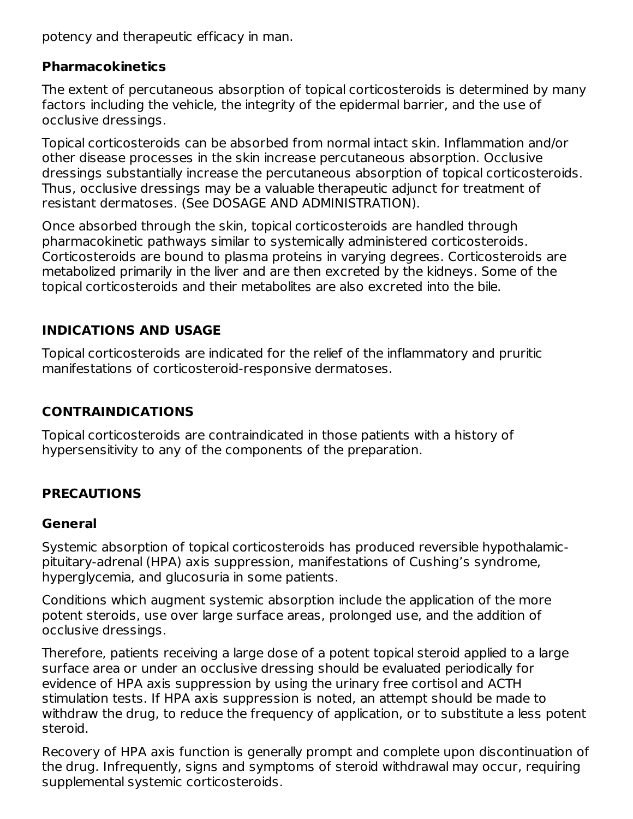potency and therapeutic efficacy in man.

# **Pharmacokinetics**

The extent of percutaneous absorption of topical corticosteroids is determined by many factors including the vehicle, the integrity of the epidermal barrier, and the use of occlusive dressings.

Topical corticosteroids can be absorbed from normal intact skin. Inflammation and/or other disease processes in the skin increase percutaneous absorption. Occlusive dressings substantially increase the percutaneous absorption of topical corticosteroids. Thus, occlusive dressings may be a valuable therapeutic adjunct for treatment of resistant dermatoses. (See DOSAGE AND ADMINISTRATION).

Once absorbed through the skin, topical corticosteroids are handled through pharmacokinetic pathways similar to systemically administered corticosteroids. Corticosteroids are bound to plasma proteins in varying degrees. Corticosteroids are metabolized primarily in the liver and are then excreted by the kidneys. Some of the topical corticosteroids and their metabolites are also excreted into the bile.

# **INDICATIONS AND USAGE**

Topical corticosteroids are indicated for the relief of the inflammatory and pruritic manifestations of corticosteroid-responsive dermatoses.

# **CONTRAINDICATIONS**

Topical corticosteroids are contraindicated in those patients with a history of hypersensitivity to any of the components of the preparation.

# **PRECAUTIONS**

### **General**

Systemic absorption of topical corticosteroids has produced reversible hypothalamicpituitary-adrenal (HPA) axis suppression, manifestations of Cushing's syndrome, hyperglycemia, and glucosuria in some patients.

Conditions which augment systemic absorption include the application of the more potent steroids, use over large surface areas, prolonged use, and the addition of occlusive dressings.

Therefore, patients receiving a large dose of a potent topical steroid applied to a large surface area or under an occlusive dressing should be evaluated periodically for evidence of HPA axis suppression by using the urinary free cortisol and ACTH stimulation tests. If HPA axis suppression is noted, an attempt should be made to withdraw the drug, to reduce the frequency of application, or to substitute a less potent steroid.

Recovery of HPA axis function is generally prompt and complete upon discontinuation of the drug. Infrequently, signs and symptoms of steroid withdrawal may occur, requiring supplemental systemic corticosteroids.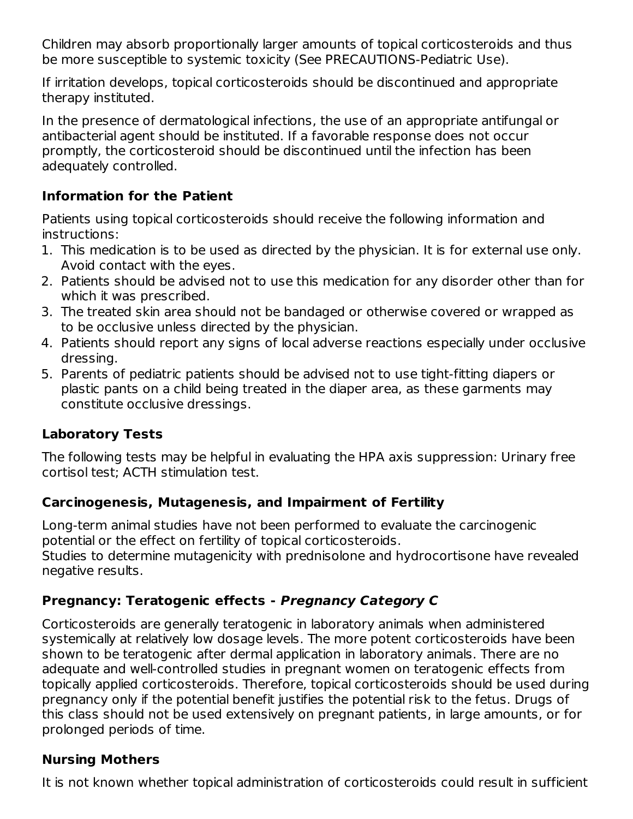Children may absorb proportionally larger amounts of topical corticosteroids and thus be more susceptible to systemic toxicity (See PRECAUTIONS-Pediatric Use).

If irritation develops, topical corticosteroids should be discontinued and appropriate therapy instituted.

In the presence of dermatological infections, the use of an appropriate antifungal or antibacterial agent should be instituted. If a favorable response does not occur promptly, the corticosteroid should be discontinued until the infection has been adequately controlled.

# **Information for the Patient**

Patients using topical corticosteroids should receive the following information and instructions:

- 1. This medication is to be used as directed by the physician. It is for external use only. Avoid contact with the eyes.
- 2. Patients should be advised not to use this medication for any disorder other than for which it was prescribed.
- 3. The treated skin area should not be bandaged or otherwise covered or wrapped as to be occlusive unless directed by the physician.
- 4. Patients should report any signs of local adverse reactions especially under occlusive dressing.
- 5. Parents of pediatric patients should be advised not to use tight-fitting diapers or plastic pants on a child being treated in the diaper area, as these garments may constitute occlusive dressings.

# **Laboratory Tests**

The following tests may be helpful in evaluating the HPA axis suppression: Urinary free cortisol test; ACTH stimulation test.

# **Carcinogenesis, Mutagenesis, and Impairment of Fertility**

Long-term animal studies have not been performed to evaluate the carcinogenic potential or the effect on fertility of topical corticosteroids. Studies to determine mutagenicity with prednisolone and hydrocortisone have revealed negative results.

# **Pregnancy: Teratogenic effects - Pregnancy Category C**

Corticosteroids are generally teratogenic in laboratory animals when administered systemically at relatively low dosage levels. The more potent corticosteroids have been shown to be teratogenic after dermal application in laboratory animals. There are no adequate and well-controlled studies in pregnant women on teratogenic effects from topically applied corticosteroids. Therefore, topical corticosteroids should be used during pregnancy only if the potential benefit justifies the potential risk to the fetus. Drugs of this class should not be used extensively on pregnant patients, in large amounts, or for prolonged periods of time.

# **Nursing Mothers**

It is not known whether topical administration of corticosteroids could result in sufficient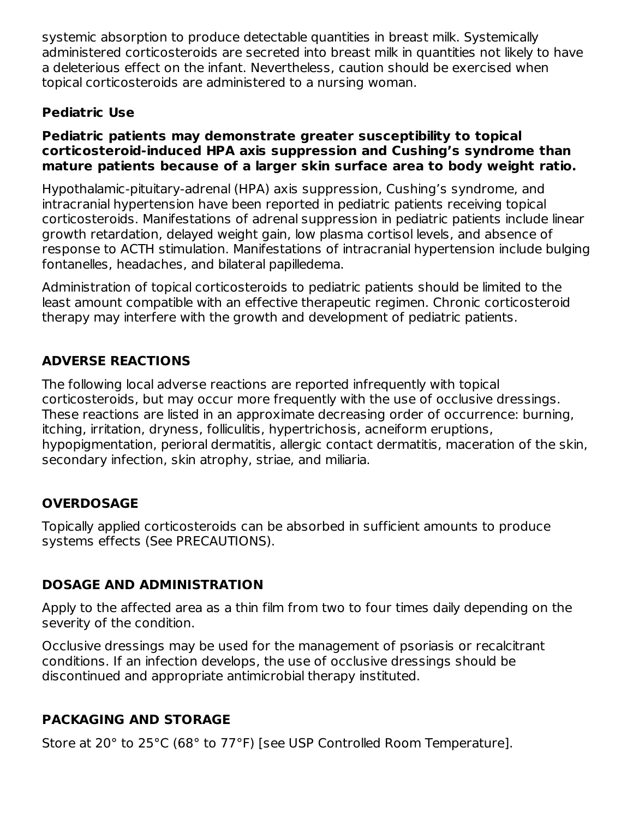systemic absorption to produce detectable quantities in breast milk. Systemically administered corticosteroids are secreted into breast milk in quantities not likely to have a deleterious effect on the infant. Nevertheless, caution should be exercised when topical corticosteroids are administered to a nursing woman.

## **Pediatric Use**

#### **Pediatric patients may demonstrate greater susceptibility to topical corticosteroid-induced HPA axis suppression and Cushing's syndrome than mature patients because of a larger skin surface area to body weight ratio.**

Hypothalamic-pituitary-adrenal (HPA) axis suppression, Cushing's syndrome, and intracranial hypertension have been reported in pediatric patients receiving topical corticosteroids. Manifestations of adrenal suppression in pediatric patients include linear growth retardation, delayed weight gain, low plasma cortisol levels, and absence of response to ACTH stimulation. Manifestations of intracranial hypertension include bulging fontanelles, headaches, and bilateral papilledema.

Administration of topical corticosteroids to pediatric patients should be limited to the least amount compatible with an effective therapeutic regimen. Chronic corticosteroid therapy may interfere with the growth and development of pediatric patients.

## **ADVERSE REACTIONS**

The following local adverse reactions are reported infrequently with topical corticosteroids, but may occur more frequently with the use of occlusive dressings. These reactions are listed in an approximate decreasing order of occurrence: burning, itching, irritation, dryness, folliculitis, hypertrichosis, acneiform eruptions, hypopigmentation, perioral dermatitis, allergic contact dermatitis, maceration of the skin, secondary infection, skin atrophy, striae, and miliaria.

# **OVERDOSAGE**

Topically applied corticosteroids can be absorbed in sufficient amounts to produce systems effects (See PRECAUTIONS).

# **DOSAGE AND ADMINISTRATION**

Apply to the affected area as a thin film from two to four times daily depending on the severity of the condition.

Occlusive dressings may be used for the management of psoriasis or recalcitrant conditions. If an infection develops, the use of occlusive dressings should be discontinued and appropriate antimicrobial therapy instituted.

### **PACKAGING AND STORAGE**

Store at 20° to 25°C (68° to 77°F) [see USP Controlled Room Temperature].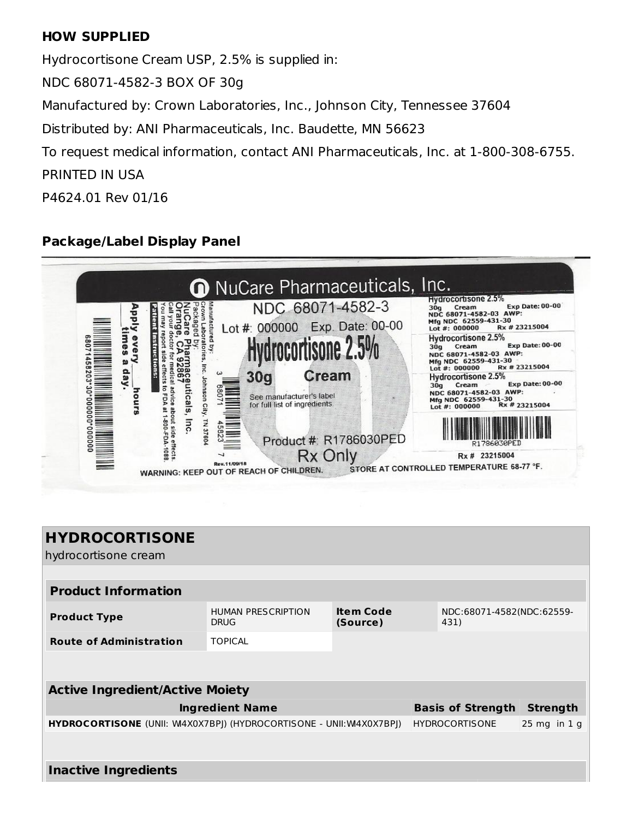### **HOW SUPPLIED**

Hydrocortisone Cream USP, 2.5% is supplied in: NDC 68071-4582-3 BOX OF 30g Manufactured by: Crown Laboratories, Inc., Johnson City, Tennessee 37604 Distributed by: ANI Pharmaceuticals, Inc. Baudette, MN 56623 To request medical information, contact ANI Pharmaceuticals, Inc. at 1-800-308-6755. PRINTED IN USA P4624.01 Rev 01/16

## **Package/Label Display Panel**



| <b>HYDROCORTISONE</b><br>hydrocortisone cream                             |                                          |                              |                 |                                   |                                  |  |  |
|---------------------------------------------------------------------------|------------------------------------------|------------------------------|-----------------|-----------------------------------|----------------------------------|--|--|
| <b>Product Information</b>                                                |                                          |                              |                 |                                   |                                  |  |  |
| <b>Product Type</b>                                                       | <b>HUMAN PRESCRIPTION</b><br><b>DRUG</b> | <b>Item Code</b><br>(Source) |                 | NDC:68071-4582(NDC:62559-<br>431) |                                  |  |  |
| <b>Route of Administration</b>                                            | <b>TOPICAL</b>                           |                              |                 |                                   |                                  |  |  |
|                                                                           |                                          |                              |                 |                                   |                                  |  |  |
| <b>Active Ingredient/Active Moiety</b>                                    |                                          |                              |                 |                                   |                                  |  |  |
| <b>Ingredient Name</b>                                                    |                                          | <b>Basis of Strength</b>     | <b>Strength</b> |                                   |                                  |  |  |
| <b>HYDROCORTISONE</b> (UNII: W4X0X7BPJ) (HYDROCORTISONE - UNII:W4X0X7BPJ) |                                          |                              |                 | <b>HYDROCORTISONE</b>             | $25 \text{ mg}$ in $1 \text{ g}$ |  |  |
|                                                                           |                                          |                              |                 |                                   |                                  |  |  |
| <b>Inactive Ingredients</b>                                               |                                          |                              |                 |                                   |                                  |  |  |